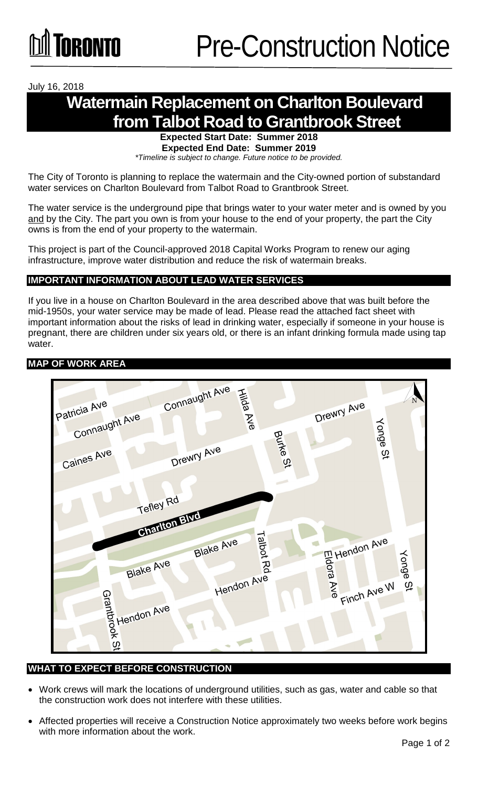July 16, 2018

## **Watermain Replacement on Charlton Boulevard from Talbot Road to Grantbrook Street**

**Expected Start Date: Summer 2018 Expected End Date: Summer 2019** 

*\*Timeline is subject to change. Future notice to be provided.*

The City of Toronto is planning to replace the watermain and the City-owned portion of substandard water services on Charlton Boulevard from Talbot Road to Grantbrook Street.

The water service is the underground pipe that brings water to your water meter and is owned by you and by the City. The part you own is from your house to the end of your property, the part the City owns is from the end of your property to the watermain.

This project is part of the Council-approved 2018 Capital Works Program to renew our aging infrastructure, improve water distribution and reduce the risk of watermain breaks.

### **IMPORTANT INFORMATION ABOUT LEAD WATER SERVICES**

If you live in a house on Charlton Boulevard in the area described above that was built before the mid-1950s, your water service may be made of lead. Please read the attached fact sheet with important information about the risks of lead in drinking water, especially if someone in your house is pregnant, there are children under six years old, or there is an infant drinking formula made using tap water.

#### **MAP OF WORK AREA**



### **WHAT TO EXPECT BEFORE CONSTRUCTION**

- Work crews will mark the locations of underground utilities, such as gas, water and cable so that the construction work does not interfere with these utilities.
- Affected properties will receive a Construction Notice approximately two weeks before work begins with more information about the work.